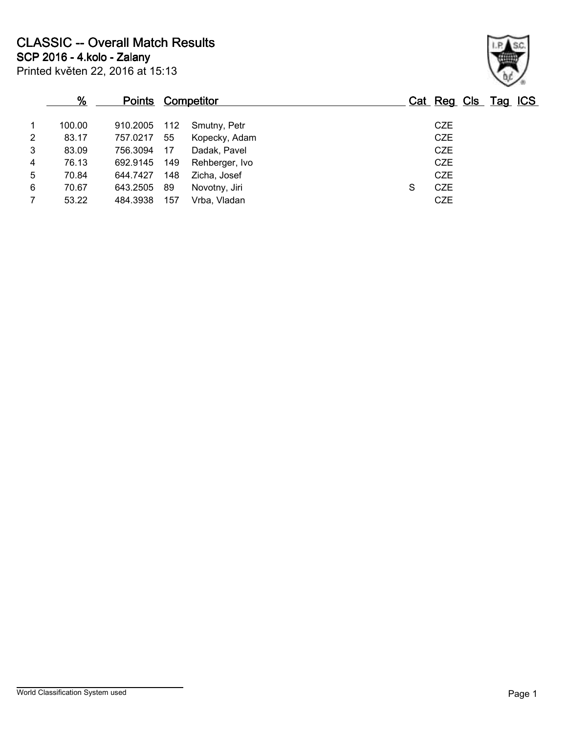|                | %      | <b>Points Competitor</b> |     |                |   | Cat Reg Cls Tag ICS |  |
|----------------|--------|--------------------------|-----|----------------|---|---------------------|--|
| $\overline{1}$ | 100.00 | 910.2005                 | 112 | Smutny, Petr   |   | <b>CZE</b>          |  |
| $\overline{2}$ | 83.17  | 757.0217                 | 55  | Kopecky, Adam  |   | <b>CZE</b>          |  |
| 3              | 83.09  | 756.3094                 | 17  | Dadak, Pavel   |   | <b>CZE</b>          |  |
| $\overline{4}$ | 76.13  | 692.9145                 | 149 | Rehberger, Ivo |   | <b>CZE</b>          |  |
| 5              | 70.84  | 644.7427                 | 148 | Zicha, Josef   |   | <b>CZE</b>          |  |
| 6              | 70.67  | 643.2505                 | 89  | Novotny, Jiri  | S | <b>CZE</b>          |  |
| $\overline{7}$ | 53.22  | 484.3938                 | 157 | Vrba. Vladan   |   | <b>CZE</b>          |  |

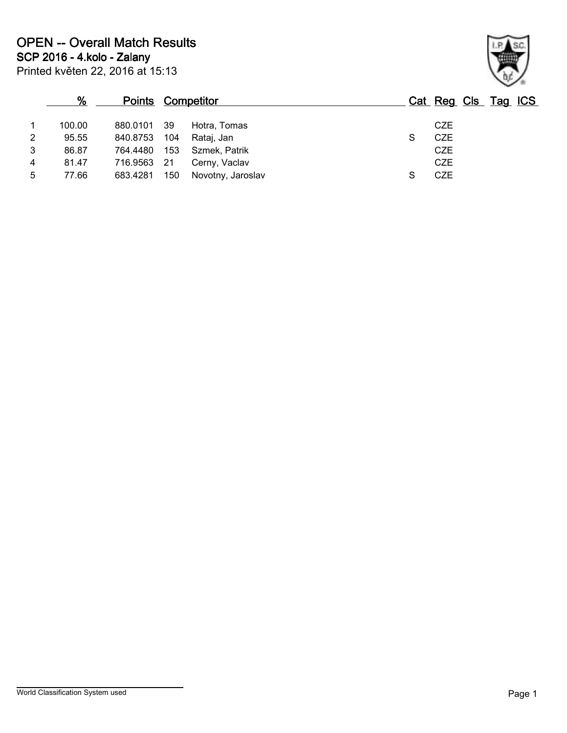|   | %      | <b>Points Competitor</b> |      |                   |   | Cat Reg Cls Tag ICS |  |  |
|---|--------|--------------------------|------|-------------------|---|---------------------|--|--|
|   | 100.00 | 880.0101                 | - 39 | Hotra, Tomas      |   | <b>CZE</b>          |  |  |
| 2 | 95.55  | 840.8753                 | 104  | Rataj, Jan        | S | CZE                 |  |  |
| 3 | 86.87  | 764.4480                 | 153  | Szmek, Patrik     |   | <b>CZE</b>          |  |  |
| 4 | 81.47  | 716.9563                 | -21  | Cerny, Vaclav     |   | <b>CZE</b>          |  |  |
| 5 | 77.66  | 683.4281                 | 150  | Novotny, Jaroslav |   | <b>CZE</b>          |  |  |

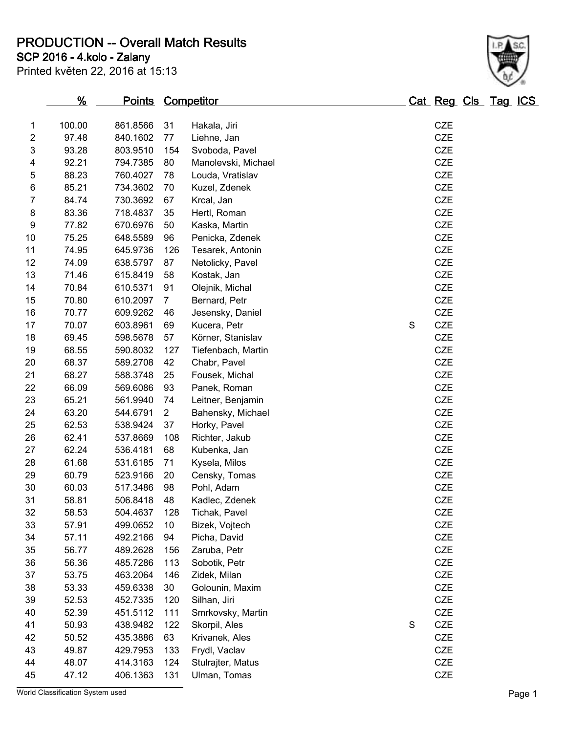**PRODUCTION -- Overall Match Results**

**SCP 2016 - 4.kolo - Zalany**

| Printed květen 22, 2016 at 15:13 |  |  |  |  |
|----------------------------------|--|--|--|--|
|----------------------------------|--|--|--|--|

## **% Points Competitor Cat Reg Cls Tag ICS** 100.00 861.8566 31 Hakala, Jiri CZE 97.48 840.1602 77 Liehne, Jan CZE 93.28 803.9510 154 Svoboda, Pavel CZE 92.21 794.7385 80 Manolevski, Michael CZE 88.23 760.4027 78 Louda, Vratislav CZE 85.21 734.3602 70 Kuzel, Zdenek CZE 84.74 730.3692 67 Krcal, Jan CZE 83.36 718.4837 35 Hertl, Roman CZE 77.82 670.6976 50 Kaska, Martin CZE 75.25 648.5589 96 Penicka, Zdenek CZE 74.95 645.9736 126 Tesarek, Antonin CZE 74.09 638.5797 87 Netolicky, Pavel CZE 71.46 615.8419 58 Kostak, Jan CZE 70.84 610.5371 91 Olejnik, Michal CZE 70.80 610.2097 7 Bernard, Petr CZE 70.77 609.9262 46 Jesensky, Daniel CZE 17 70.07 603.8961 69 Kucera, Petr S CZE

 69.45 598.5678 57 Körner, Stanislav CZE 68.55 590.8032 127 Tiefenbach, Martin CZE 68.37 589.2708 42 Chabr, Pavel CZE



| 21 | 68.27                            | 588.3748 | 25              | Fousek, Michal    |   | <b>CZE</b> |        |
|----|----------------------------------|----------|-----------------|-------------------|---|------------|--------|
| 22 | 66.09                            | 569.6086 | 93              | Panek, Roman      |   | <b>CZE</b> |        |
| 23 | 65.21                            | 561.9940 | 74              | Leitner, Benjamin |   | <b>CZE</b> |        |
| 24 | 63.20                            | 544.6791 | $\overline{2}$  | Bahensky, Michael |   | <b>CZE</b> |        |
| 25 | 62.53                            | 538.9424 | 37              | Horky, Pavel      |   | CZE        |        |
| 26 | 62.41                            | 537.8669 | 108             | Richter, Jakub    |   | <b>CZE</b> |        |
| 27 | 62.24                            | 536.4181 | 68              | Kubenka, Jan      |   | <b>CZE</b> |        |
| 28 | 61.68                            | 531.6185 | 71              | Kysela, Milos     |   | <b>CZE</b> |        |
| 29 | 60.79                            | 523.9166 | 20              | Censky, Tomas     |   | <b>CZE</b> |        |
| 30 | 60.03                            | 517.3486 | 98              | Pohl, Adam        |   | <b>CZE</b> |        |
| 31 | 58.81                            | 506.8418 | 48              | Kadlec, Zdenek    |   | <b>CZE</b> |        |
| 32 | 58.53                            | 504.4637 | 128             | Tichak, Pavel     |   | <b>CZE</b> |        |
| 33 | 57.91                            | 499.0652 | 10 <sup>°</sup> | Bizek, Vojtech    |   | <b>CZE</b> |        |
| 34 | 57.11                            | 492.2166 | 94              | Picha, David      |   | <b>CZE</b> |        |
| 35 | 56.77                            | 489.2628 | 156             | Zaruba, Petr      |   | <b>CZE</b> |        |
| 36 | 56.36                            | 485.7286 | 113             | Sobotik, Petr     |   | <b>CZE</b> |        |
| 37 | 53.75                            | 463.2064 | 146             | Zidek, Milan      |   | <b>CZE</b> |        |
| 38 | 53.33                            | 459.6338 | 30              | Golounin, Maxim   |   | <b>CZE</b> |        |
| 39 | 52.53                            | 452.7335 | 120             | Silhan, Jiri      |   | <b>CZE</b> |        |
| 40 | 52.39                            | 451.5112 | 111             | Smrkovsky, Martin |   | <b>CZE</b> |        |
| 41 | 50.93                            | 438.9482 | 122             | Skorpil, Ales     | S | <b>CZE</b> |        |
| 42 | 50.52                            | 435.3886 | 63              | Krivanek, Ales    |   | <b>CZE</b> |        |
| 43 | 49.87                            | 429.7953 | 133             | Frydl, Vaclav     |   | <b>CZE</b> |        |
| 44 | 48.07                            | 414.3163 | 124             | Stulrajter, Matus |   | <b>CZE</b> |        |
| 45 | 47.12                            | 406.1363 | 131             | Ulman, Tomas      |   | <b>CZE</b> |        |
|    | World Classification System used |          |                 |                   |   |            | Page 1 |
|    |                                  |          |                 |                   |   |            |        |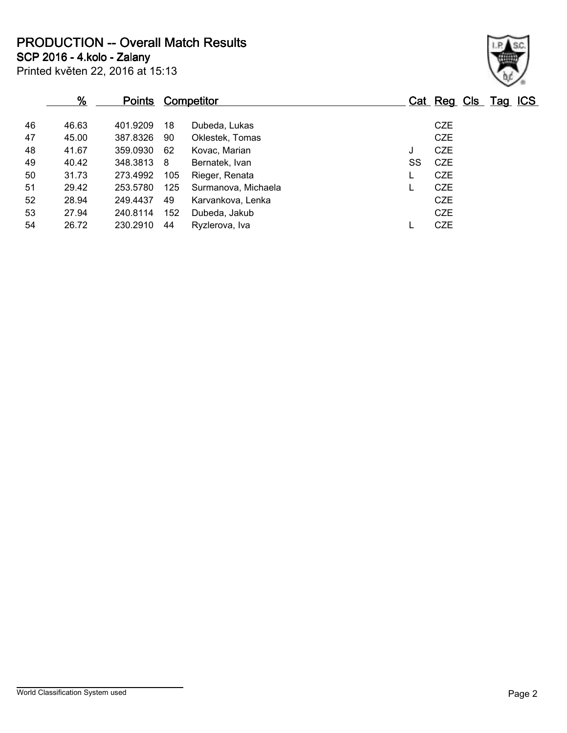**PRODUCTION -- Overall Match Results**

**SCP 2016 - 4.kolo - Zalany**

|    | %     | <u>Points</u> |     | Competitor          |    | Cat Reg Cls Tag ICS |  |  |
|----|-------|---------------|-----|---------------------|----|---------------------|--|--|
| 46 | 46.63 | 401.9209      | 18  | Dubeda, Lukas       |    | <b>CZE</b>          |  |  |
| 47 | 45.00 | 387.8326      | 90  | Oklestek, Tomas     |    | <b>CZE</b>          |  |  |
| 48 | 41.67 | 359.0930      | -62 | Kovac, Marian       | J  | <b>CZE</b>          |  |  |
| 49 | 40.42 | 348.3813      | - 8 | Bernatek, Ivan      | SS | <b>CZE</b>          |  |  |
| 50 | 31.73 | 273.4992      | 105 | Rieger, Renata      |    | <b>CZE</b>          |  |  |
| 51 | 29.42 | 253.5780      | 125 | Surmanova, Michaela |    | <b>CZE</b>          |  |  |
| 52 | 28.94 | 249.4437      | 49  | Karvankova, Lenka   |    | <b>CZE</b>          |  |  |
| 53 | 27.94 | 240.8114      | 152 | Dubeda, Jakub       |    | <b>CZE</b>          |  |  |
| 54 | 26.72 | 230.2910      | 44  | Ryzlerova, Iva      |    | <b>CZE</b>          |  |  |

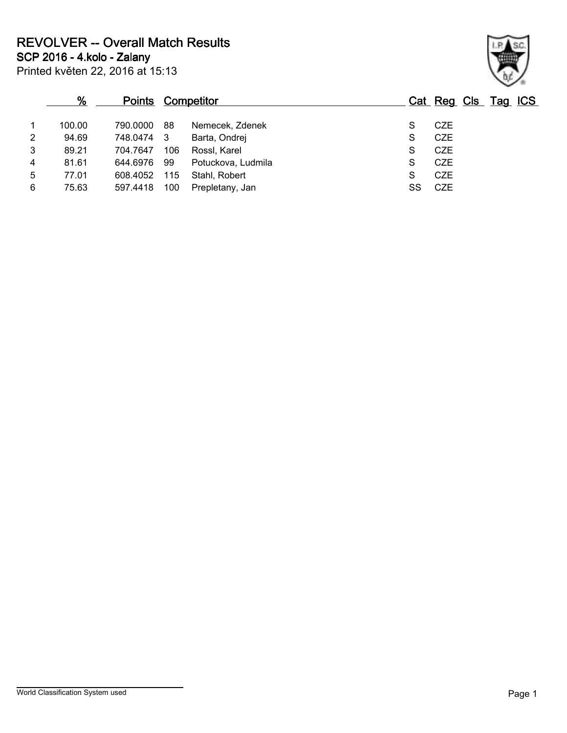**SCP 2016 - 4.kolo - Zalany**

|   | %      | <b>Points Competitor</b> |     |                    |    | Cat Reg Cls Tag ICS |  |  |
|---|--------|--------------------------|-----|--------------------|----|---------------------|--|--|
|   | 100.00 | 790.0000                 | 88  | Nemecek, Zdenek    |    | <b>CZE</b>          |  |  |
| 2 | 94.69  | 748.0474                 | - 3 | Barta, Ondrei      | S  | <b>CZE</b>          |  |  |
| 3 | 89.21  | 704.7647                 | 106 | Rossl, Karel       | S  | <b>CZE</b>          |  |  |
| 4 | 81.61  | 644.6976                 | 99  | Potuckova, Ludmila | S  | <b>CZE</b>          |  |  |
| 5 | 77.01  | 608.4052                 | 115 | Stahl, Robert      | S  | <b>CZE</b>          |  |  |
| 6 | 75.63  | 597.4418                 | 100 | Prepletany, Jan    | SS | CZE                 |  |  |
|   |        |                          |     |                    |    |                     |  |  |

Printed květen 22, 2016 at 15:13

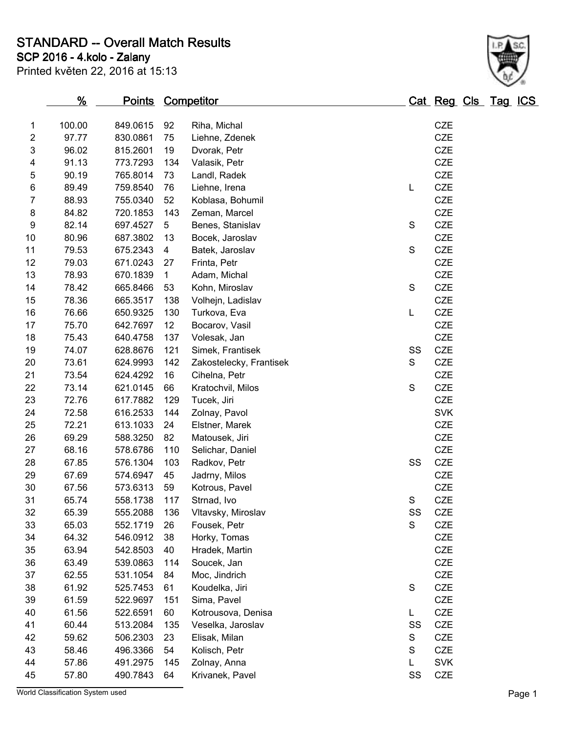**STANDARD -- Overall Match Results**

**SCP 2016 - 4.kolo - Zalany**

|  |  | Printed květen 22, 2016 at 15:13 |  |
|--|--|----------------------------------|--|

## **% Points Competitor Cat Reg Cls Tag ICS** 100.00 849.0615 92 Riha, Michal CZE

| $\overline{\mathbf{c}}$ | 97.77 | 830.0861 | 75              | Liehne, Zdenek          |             | <b>CZE</b> |
|-------------------------|-------|----------|-----------------|-------------------------|-------------|------------|
| 3                       | 96.02 | 815.2601 | 19              | Dvorak, Petr            |             | <b>CZE</b> |
| 4                       | 91.13 | 773.7293 | 134             | Valasik, Petr           |             | <b>CZE</b> |
| 5                       | 90.19 | 765.8014 | 73              | Landl, Radek            |             | <b>CZE</b> |
| 6                       | 89.49 | 759.8540 | 76              | Liehne, Irena           | L           | CZE        |
| 7                       | 88.93 | 755.0340 | 52              | Koblasa, Bohumil        |             | <b>CZE</b> |
| 8                       | 84.82 | 720.1853 | 143             | Zeman, Marcel           |             | <b>CZE</b> |
| 9                       | 82.14 | 697.4527 | 5               | Benes, Stanislav        | S           | CZE        |
| 10                      | 80.96 | 687.3802 | 13              | Bocek, Jaroslav         |             | CZE        |
| 11                      | 79.53 | 675.2343 | 4               | Batek, Jaroslav         | $\mathbf S$ | CZE        |
| 12                      | 79.03 | 671.0243 | 27              | Frinta, Petr            |             | <b>CZE</b> |
| 13                      | 78.93 | 670.1839 | 1               | Adam, Michal            |             | <b>CZE</b> |
| 14                      | 78.42 | 665.8466 | 53              | Kohn, Miroslav          | $\mathbf S$ | <b>CZE</b> |
| 15                      | 78.36 | 665.3517 | 138             | Volhejn, Ladislav       |             | <b>CZE</b> |
| 16                      | 76.66 | 650.9325 | 130             | Turkova, Eva            | L           | <b>CZE</b> |
| 17                      | 75.70 | 642.7697 | 12 <sub>2</sub> | Bocarov, Vasil          |             | CZE        |
| 18                      | 75.43 | 640.4758 | 137             | Volesak, Jan            |             | CZE        |
| 19                      | 74.07 | 628.8676 | 121             | Simek, Frantisek        | SS          | CZE        |
| 20                      | 73.61 | 624.9993 | 142             | Zakostelecky, Frantisek | S           | <b>CZE</b> |
| 21                      | 73.54 | 624.4292 | 16              | Cihelna, Petr           |             | <b>CZE</b> |
| 22                      | 73.14 | 621.0145 | 66              | Kratochvil, Milos       | $\mathbf S$ | <b>CZE</b> |
| 23                      | 72.76 | 617.7882 | 129             | Tucek, Jiri             |             | <b>CZE</b> |
| 24                      | 72.58 | 616.2533 | 144             | Zolnay, Pavol           |             | <b>SVK</b> |
| 25                      | 72.21 | 613.1033 | 24              | Elstner, Marek          |             | <b>CZE</b> |
| 26                      | 69.29 | 588.3250 | 82              | Matousek, Jiri          |             | CZE        |
| 27                      | 68.16 | 578.6786 | 110             | Selichar, Daniel        |             | <b>CZE</b> |
| 28                      | 67.85 | 576.1304 | 103             | Radkov, Petr            | SS          | <b>CZE</b> |
| 29                      | 67.69 | 574.6947 | 45              | Jadrny, Milos           |             | <b>CZE</b> |
| 30                      | 67.56 | 573.6313 | 59              | Kotrous, Pavel          |             | <b>CZE</b> |
| 31                      | 65.74 | 558.1738 | 117             | Strnad, Ivo             | S           | CZE        |
| 32                      | 65.39 | 555.2088 | 136             | Vltavsky, Miroslav      | SS          | CZE        |
| 33                      | 65.03 | 552.1719 | 26              | Fousek, Petr            | S           | <b>CZE</b> |
| 34                      | 64.32 | 546.0912 | 38              | Horky, Tomas            |             | <b>CZE</b> |
| 35                      | 63.94 | 542.8503 | 40              | Hradek, Martin          |             | <b>CZE</b> |
| 36                      | 63.49 | 539.0863 | 114             | Soucek, Jan             |             | <b>CZE</b> |
| 37                      | 62.55 | 531.1054 | 84              | Moc, Jindrich           |             | CZE        |
| 38                      | 61.92 | 525.7453 | 61              | Koudelka, Jiri          | S           | CZE        |
| 39                      | 61.59 | 522.9697 | 151             | Sima, Pavel             |             | <b>CZE</b> |
| 40                      | 61.56 | 522.6591 | 60              | Kotrousova, Denisa      | L           | <b>CZE</b> |
| 41                      | 60.44 | 513.2084 | 135             | Veselka, Jaroslav       | SS          | <b>CZE</b> |
| 42                      | 59.62 | 506.2303 | 23              | Elisak, Milan           | S           | CZE        |
| 43                      | 58.46 | 496.3366 | 54              | Kolisch, Petr           | S           | <b>CZE</b> |
| 44                      | 57.86 | 491.2975 | 145             | Zolnay, Anna            | L           | <b>SVK</b> |
| 45                      | 57.80 | 490.7843 | 64              | Krivanek, Pavel         | SS          | <b>CZE</b> |



World Classification System used **Page 1**